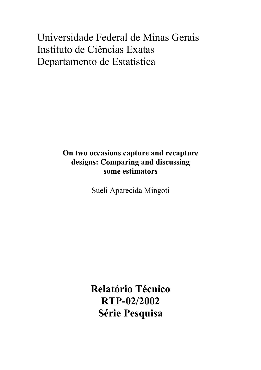# Universidade Federal de Minas Gerais Instituto de Ciências Exatas Departamento de Estatística

# **On two occasions capture and recapture designs: Comparing and discussing some estimators**

Sueli Aparecida Mingoti

**Relatório Técnico RTP-02/2002 Série Pesquisa**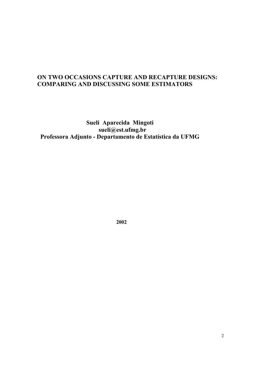# **ON TWO OCCASIONS CAPTURE AND RECAPTURE DESIGNS: COMPARING AND DISCUSSING SOME ESTIMATORS**

 **Sueli Aparecida Mingoti sueli@est.ufmg.br Professora Adjunto - Departamento de Estatística da UFMG**

**2002**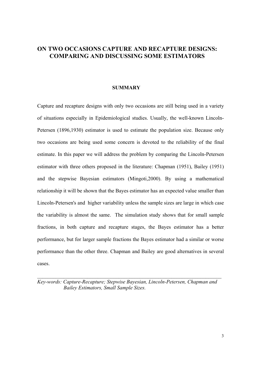# **ON TWO OCCASIONS CAPTURE AND RECAPTURE DESIGNS: COMPARING AND DISCUSSING SOME ESTIMATORS**

#### **SUMMARY**

Capture and recapture designs with only two occasions are still being used in a variety of situations especially in Epidemiological studies. Usually, the well-known Lincoln-Petersen (1896,1930) estimator is used to estimate the population size. Because only two occasions are being used some concern is devoted to the reliability of the final estimate. In this paper we will address the problem by comparing the Lincoln-Petersen estimator with three others proposed in the literature: Chapman (1951), Bailey (1951) and the stepwise Bayesian estimators (Mingoti,2000). By using a mathematical relationship it will be shown that the Bayes estimator has an expected value smaller than Lincoln-Petersen's and higher variability unless the sample sizes are large in which case the variability is almost the same. The simulation study shows that for small sample fractions, in both capture and recapture stages, the Bayes estimator has a better performance, but for larger sample fractions the Bayes estimator had a similar or worse performance than the other three. Chapman and Bailey are good alternatives in several cases.

*Key-words: Capture-Recapture; Stepwise Bayesian, Lincoln-Petersen, Chapman and Bailey Estimators, Small Sample Sizes.*

 $\mathcal{L}_\mathcal{L} = \{ \mathcal{L}_\mathcal{L} = \{ \mathcal{L}_\mathcal{L} = \{ \mathcal{L}_\mathcal{L} = \{ \mathcal{L}_\mathcal{L} = \{ \mathcal{L}_\mathcal{L} = \{ \mathcal{L}_\mathcal{L} = \{ \mathcal{L}_\mathcal{L} = \{ \mathcal{L}_\mathcal{L} = \{ \mathcal{L}_\mathcal{L} = \{ \mathcal{L}_\mathcal{L} = \{ \mathcal{L}_\mathcal{L} = \{ \mathcal{L}_\mathcal{L} = \{ \mathcal{L}_\mathcal{L} = \{ \mathcal{L}_\mathcal{$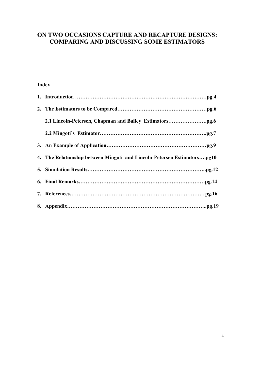# **ON TWO OCCASIONS CAPTURE AND RECAPTURE DESIGNS: COMPARING AND DISCUSSING SOME ESTIMATORS**

## **Index**

| 4. The Relationship between Mingoti and Lincoln-Petersen Estimatorspg10 |
|-------------------------------------------------------------------------|
|                                                                         |
|                                                                         |
|                                                                         |
|                                                                         |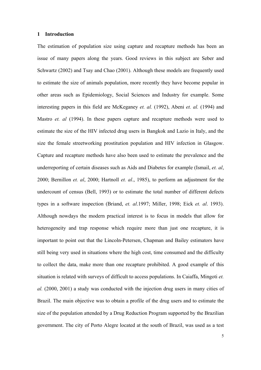#### **1 Introduction**

The estimation of population size using capture and recapture methods has been an issue of many papers along the years. Good reviews in this subject are Seber and Schwartz (2002) and Tsay and Chao (2001). Although these models are frequently used to estimate the size of animals population, more recently they have become popular in other areas such as Epidemiology, Social Sciences and Industry for example. Some interesting papers in this field are McKeganey *et. al.* (1992), Abeni *et. al.* (1994) and Mastro *et. al* (1994). In these papers capture and recapture methods were used to estimate the size of the HIV infected drug users in Bangkok and Lazio in Italy, and the size the female streetworking prostitution population and HIV infection in Glasgow. Capture and recapture methods have also been used to estimate the prevalence and the underreporting of certain diseases such as Aids and Diabetes for example (Ismail, *et. al*, 2000; Bernillon *et. al*, 2000; Hartnoll *et. al*., 1985), to perform an adjustment for the undercount of census (Bell, 1993) or to estimate the total number of different defects types in a software inspection (Briand, *et. al*.1997; Miller, 1998; Eick *et. al*. 1993). Although nowdays the modern practical interest is to focus in models that allow for heterogeneity and trap response which require more than just one recapture, it is important to point out that the Lincoln-Petersen, Chapman and Bailey estimators have still being very used in situations where the high cost, time consumed and the difficulty to collect the data, make more than one recapture prohibited. A good example of this situation is related with surveys of difficult to access populations. In Caiaffa, Mingoti *et. al.* (2000, 2001) a study was conducted with the injection drug users in many cities of Brazil. The main objective was to obtain a profile of the drug users and to estimate the size of the population attended by a Drug Reduction Program supported by the Brazilian government. The city of Porto Alegre located at the south of Brazil, was used as a test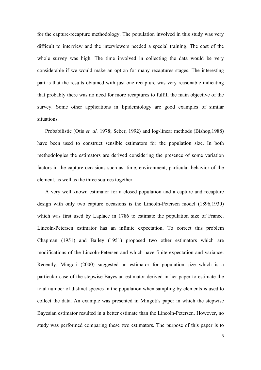for the capture-recapture methodology. The population involved in this study was very difficult to interview and the interviewers needed a special training. The cost of the whole survey was high. The time involved in collecting the data would be very considerable if we would make an option for many recaptures stages. The interesting part is that the results obtained with just one recapture was very reasonable indicating that probably there was no need for more recaptures to fulfill the main objective of the survey. Some other applications in Epidemiology are good examples of similar situations.

 Probabilistic (Otis *et. al.* 1978; Seber, 1992) and log-linear methods (Bishop,1988) have been used to construct sensible estimators for the population size. In both methodologies the estimators are derived considering the presence of some variation factors in the capture occasions such as: time, environment, particular behavior of the element, as well as the three sources together.

 A very well known estimator for a closed population and a capture and recapture design with only two capture occasions is the Lincoln-Petersen model (1896,1930) which was first used by Laplace in 1786 to estimate the population size of France. Lincoln-Petersen estimator has an infinite expectation. To correct this problem Chapman (1951) and Bailey (1951) proposed two other estimators which are modifications of the Lincoln-Petersen and which have finite expectation and variance. Recently, Mingoti (2000) suggested an estimator for population size which is a particular case of the stepwise Bayesian estimator derived in her paper to estimate the total number of distinct species in the population when sampling by elements is used to collect the data. An example was presented in Mingoti's paper in which the stepwise Bayesian estimator resulted in a better estimate than the Lincoln-Petersen. However, no study was performed comparing these two estimators. The purpose of this paper is to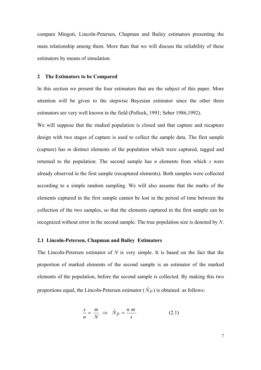compare Mingoti, Lincoln-Petersen, Chapman and Bailey estimators presenting the main relationship among them. More than that we will discuss the reliability of these estimators by means of simulation.

#### **2 The Estimators to be Compared**

In this section we present the four estimators that are the subject of this paper. More attention will be given to the stepwise Bayesian estimator since the other three estimators are very well known in the field (Pollock, 1991; Seber 1986,1992).

We will suppose that the studied population is closed and that capture and recapture design with two stages of capture is used to collect the sample data. The first sample (capture) has *m* distinct elements of the population which were captured, tagged and returned to the population. The second sample has *n* elements from which *s* were already observed in the first sample (recaptured elements). Both samples were collected according to a simple random sampling. We will also assume that the marks of the elements captured in the first sample cannot be lost in the period of time between the collection of the two samples, so that the elements captured in the first sample can be recognized without error in the second sample. The true population size is denoted by *N*.

#### **2.1 Lincoln-Petersen, Chapman and Bailey Estimators**

The Lincoln-Petersen estimator of *N* is very simple. It is based on the fact that the proportion of marked elements of the second sample is an estimator of the marked elements of the population, before the second sample is collected. By making this two proportions equal, the Lincoln-Petersen estimator  $(\hat{N}_P)$  is obtained as follows:

$$
\frac{s}{n} = \frac{m}{N} \implies \hat{N}_P = \frac{n \, m}{s} \tag{2.1}
$$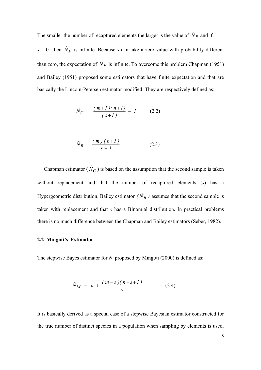The smaller the number of recaptured elements the larger is the value of  $\hat{N}_P$  and if  $s = 0$  then  $\hat{N}_P$  is infinite. Because *s* can take a zero value with probability different than zero, the expectation of  $\hat{N}_P$  is infinite. To overcome this problem Chapman (1951) and Bailey (1951) proposed some estimators that have finite expectation and that are basically the Lincoln-Petersen estimator modified. They are respectively defined as:

$$
\hat{N}_C = \frac{(m+1)(n+1)}{(s+1)} - 1 \tag{2.2}
$$

$$
\hat{N}_B = \frac{(m)(n+1)}{s+1}
$$
 (2.3)

Chapman estimator ( $\hat{N}_C$ ) is based on the assumption that the second sample is taken without replacement and that the number of recaptured elements (*s*) has a Hypergeometric distribution. Bailey estimator  $(\hat{N}_B)$  assumes that the second sample is taken with replacement and that *s* has a Binomial distribution. In practical problems there is no much difference between the Chapman and Bailey estimators (Seber, 1982).

#### **2.2 Mingoti's Estimator**

The stepwise Bayes estimator for *N* proposed by Mingoti (2000) is defined as:

$$
\hat{N}_M = n + \frac{(m-s)(n-s+1)}{s} \tag{2.4}
$$

It is basically derived as a special case of a stepwise Bayesian estimator constructed for the true number of distinct species in a population when sampling by elements is used.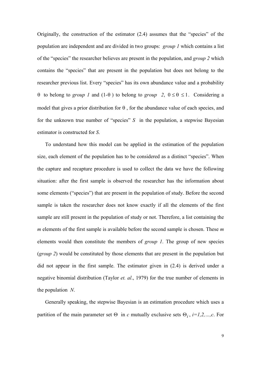Originally, the construction of the estimator (2.4) assumes that the "species" of the population are independent and are divided in two groups: *group 1* which contains a list of the "species" the researcher believes are present in the population, and *group 2* which contains the "species" that are present in the population but does not belong to the researcher previous list. Every "species" has its own abundance value and a probability θ to belong to *group 1* and (1-θ) to belong to *group* 2,  $0 ≤ θ ≤ 1$ . Considering a model that gives a prior distribution for  $\theta$ , for the abundance value of each species, and for the unknown true number of "species" *S* in the population, a stepwise Bayesian estimator is constructed for *S*.

 To understand how this model can be applied in the estimation of the population size, each element of the population has to be considered as a distinct "species". When the capture and recapture procedure is used to collect the data we have the following situation: after the first sample is observed the researcher has the information about some elements ("species") that are present in the population of study. Before the second sample is taken the researcher does not know exactly if all the elements of the first sample are still present in the population of study or not. Therefore, a list containing the *m* elements of the first sample is available before the second sample is chosen. These *m* elements would then constitute the members of *group 1*. The group of new species (*group 2*) would be constituted by those elements that are present in the population but did not appear in the first sample. The estimator given in (2.4) is derived under a negative binomial distribution (Taylor *et. al*., 1979) for the true number of elements in the population *N*.

 Generally speaking, the stepwise Bayesian is an estimation procedure which uses a partition of the main parameter set  $\Theta$  in *c* mutually exclusive sets  $\Theta_i$ , *i*=1,2, ...,*c*. For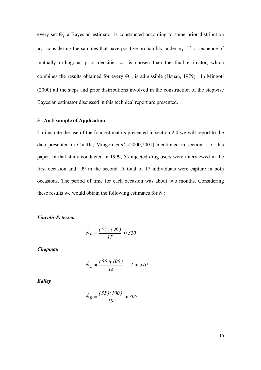every set Θ*i* a Bayesian estimator is constructed according to some prior distribution  $\pi_i$ , considering the samples that have positive probability under  $\pi_i$ . If a sequence of mutually orthogonal prior densities  $\pi_i$  is chosen than the final estimator, which combines the results obtained for every Θ*<sup>i</sup>* , is admissible (Hsuan, 1979). In Mingoti (2000) all the steps and prior distributions involved in the construction of the stepwise Bayesian estimator discussed in this technical report are presented.

#### **3 An Example of Application**

To ilustrate the use of the four estimators presented in section 2.0 we will report to the data presented in Caiaffa, Mingoti *et.al.* (2000,2001) mentioned in section 1 of this paper. In that study conducted in 1999, 55 injected drug users were interviewed in the first occasion and 99 in the second. A total of 17 individuals were capture in both occasions. The period of time for each occasion was about two months. Considering these results we would obtain the following estimates for *N* :

#### *Lincoln-Petersen*

$$
\hat{N}_P = \frac{(55)(99)}{17} \approx 320
$$

*Chapman*

$$
\hat{N}_C = \frac{(56)(100)}{18} - 1 \approx 310
$$

*Bailey*

$$
\hat{N}_B = \frac{(55)(100)}{18} \approx 305
$$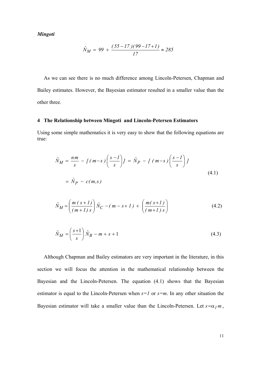*Mingoti*

$$
\hat{N}_M = 99 + \frac{(55 - 17)(99 - 17 + 1)}{17} \approx 285
$$

 As we can see there is no much difference among Lincoln-Petersen, Chapman and Bailey estimates. However, the Bayesian estimator resulted in a smaller value than the other three.

#### **4 The Relationship between Mingoti and Lincoln-Petersen Estimators**

Using some simple mathematics it is very easy to show that the following equations are true:

$$
\hat{N}_M = \frac{nm}{s} - \left[ (m-s) \left( \frac{s-l}{s} \right) \right] = \hat{N}_P - \left[ (m-s) \left( \frac{s-l}{s} \right) \right]
$$
\n
$$
= \hat{N}_P - c(m,s)
$$
\n(4.1)

$$
\hat{N}_M = \left(\frac{m(s+1)}{(m+1)s}\right)\hat{N}_C - (m-s+1) + \left(\frac{m(s+1)}{(m+1)s}\right)
$$
\n(4.2)

$$
\hat{N}_M = \left(\frac{s+1}{s}\right)\hat{N}_B - m + s + 1\tag{4.3}
$$

 Although Chapman and Bailey estimators are very important in the literature, in this section we will focus the attention in the mathematical relationship between the Bayesian and the Lincoln-Petersen. The equation (4.1) shows that the Bayesian estimator is equal to the Lincoln-Petersen when *s=1* or *s=m*. In any other situation the Bayesian estimator will take a smaller value than the Lincoln-Petersen. Let  $s = \alpha_1 m$ ,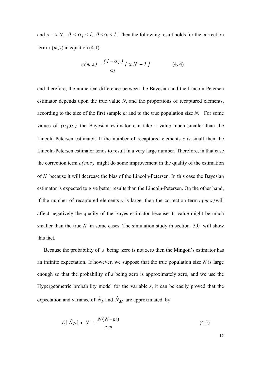and  $s = \alpha N$ ,  $0 < \alpha_1 < 1$ ,  $0 < \alpha < 1$ . Then the following result holds for the correction term  $c(m, s)$  in equation (4.1):

$$
c(m,s) = \frac{(1-\alpha_1)}{\alpha_1} \left[ \alpha N - 1 \right] \tag{4.4}
$$

and therefore, the numerical difference between the Bayesian and the Lincoln-Petersen estimator depends upon the true value *N*, and the proportions of recaptured elements, according to the size of the first sample *m* and to the true population size *N*. For some values of  $(\alpha_1, \alpha)$  the Bayesian estimator can take a value much smaller than the Lincoln-Petersen estimator. If the number of recaptured elements *s* is small then the Lincoln-Petersen estimator tends to result in a very large number. Therefore, in that case the correction term  $c(m,s)$  might do some improvement in the quality of the estimation of *N* because it will decrease the bias of the Lincoln-Petersen. In this case the Bayesian estimator is expected to give better results than the Lincoln-Petersen. On the other hand, if the number of recaptured elements *s* is large, then the correction term  $c(m, s)$  will affect negatively the quality of the Bayes estimator because its value might be much smaller than the true N in some cases. The simulation study in section  $5.0 \text{ will show}$ this fact.

 Because the probability of *s* being zero is not zero then the Mingoti's estimator has an infinite expectation. If however, we suppose that the true population size *N* is large enough so that the probability of *s* being zero is approximately zero, and we use the Hypergeometric probability model for the variable *s*, it can be easily proved that the expectation and variance of  $\hat{N}_P$  and  $\hat{N}_M$  are approximated by:

$$
E[\hat{N}_P] \approx N + \frac{N(N-m)}{n \, m} \tag{4.5}
$$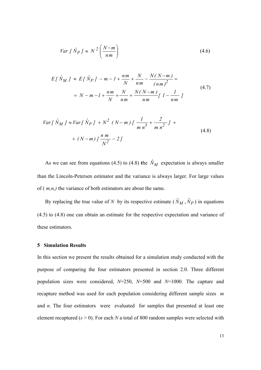$$
Var\left[\hat{N}_P\right] \approx N^2 \left(\frac{N-m}{nm}\right) \tag{4.6}
$$

$$
E[\hat{N}_M] \approx E[\hat{N}_P] - m - l + \frac{nm}{N} + \frac{N}{nm} - \frac{N(N-m)}{(nm)^2} =
$$
  
=  $N - m - l + \frac{nm}{N} + \frac{N}{nm} + \frac{N(N-m)}{nm} [l - \frac{l}{nm}]$  (4.7)

$$
Var[\hat{N}_M] \approx Var[\hat{N}_P] + N^2 (N - m) [\frac{1}{m n^3} + \frac{2}{m n^2}] + (N - m) [\frac{n m}{N^2} - 2]
$$
\n(4.8)

As we can see from equations (4.5) to (4.8) the  $\hat{N}_M$  expectation is always smaller than the Lincoln-Petersen estimator and the variance is always larger. For large values of ( *m,n,)* the variance of both estimators are about the same.

By replacing the true value of *N* by its respective estimate  $(\hat{N}_M, \hat{N}_P)$  in equations (4.5) to (4.8) one can obtain an estimate for the respective expectation and variance of these estimators.

#### **5 Simulation Results**

In this section we present the results obtained for a simulation study conducted with the purpose of comparing the four estimators presented in section 2.0. Three different population sizes were considered, *N*=250, *N*=500 and *N*=1000. The capture and recapture method was used for each population considering different sample sizes *m* and *n*. The four estimators were evaluated for samples that presented at least one element recaptured  $(s > 0)$ . For each *N* a total of 800 random samples were selected with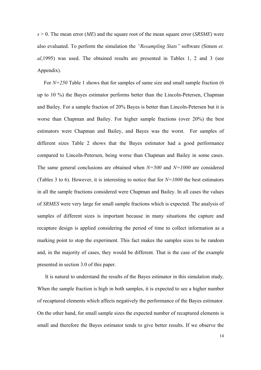*s* > 0. The mean error (*ME*) and the square root of the mean square error (*SRSME*) were also evaluated. To perform the simulation the *"Resampling Stats"* software (Simon *et. al*,1995) was used. The obtained results are presented in Tables 1, 2 and 3 (see Appendix).

 For *N=250* Table 1 shows that for samples of same size and small sample fraction (6 up to 10 %) the Bayes estimator performs better than the Lincoln-Petersen, Chapman and Bailey. For a sample fraction of 20% Bayes is better than Lincoln-Petersen but it is worse than Chapman and Bailey. For higher sample fractions (over 20%) the best estimators were Chapman and Bailey, and Bayes was the worst. For samples of different sizes Table 2 shows that the Bayes estimator had a good performance compared to Lincoln-Petersen, being worse than Chapman and Bailey in some cases. The same general conclusions are obtained when *N=500* and *N=1000* are considered (Tables 3 to 6). However, it is interesting to notice that for *N=1000* the best estimators in all the sample fractions considered were Chapman and Bailey. In all cases the values of *SRMES* were very large for small sample fractions which is expected. The analysis of samples of different sizes is important because in many situations the capture and recapture design is applied considering the period of time to collect information as a marking point to stop the experiment. This fact makes the samples sizes to be random and, in the majority of cases, they would be different. That is the case of the example presented in section 3.0 of this paper.

 It is natural to understand the results of the Bayes estimator in this simulation study. When the sample fraction is high in both samples, it is expected to see a higher number of recaptured elements which affects negatively the performance of the Bayes estimator. On the other hand, for small sample sizes the expected number of recaptured elements is small and therefore the Bayes estimator tends to give better results. If we observe the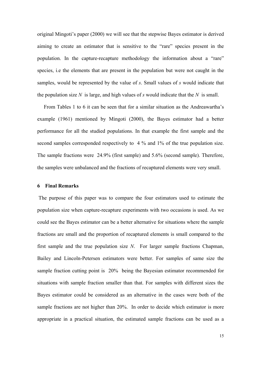original Mingoti's paper (2000) we will see that the stepwise Bayes estimator is derived aiming to create an estimator that is sensitive to the "rare" species present in the population. In the capture-recapture methodology the information about a "rare" species, i.e the elements that are present in the population but were not caught in the samples, would be represented by the value of *s*. Small values of *s* would indicate that the population size N is large, and high values of s would indicate that the N is small.

 From Tables 1 to 6 it can be seen that for a similar situation as the Andreawartha's example (1961) mentioned by Mingoti (2000), the Bayes estimator had a better performance for all the studied populations. In that example the first sample and the second samples corresponded respectively to 4 % and 1% of the true population size. The sample fractions were 24.9% (first sample) and 5.6% (second sample). Therefore, the samples were unbalanced and the fractions of recaptured elements were very small.

#### **6 Final Remarks**

The purpose of this paper was to compare the four estimators used to estimate the population size when capture-recapture experiments with two occasions is used. As we could see the Bayes estimator can be a better alternative for situations where the sample fractions are small and the proportion of recaptured elements is small compared to the first sample and the true population size *N*. For larger sample fractions Chapman, Bailey and Lincoln-Petersen estimators were better. For samples of same size the sample fraction cutting point is 20% being the Bayesian estimator recommended for situations with sample fraction smaller than that. For samples with different sizes the Bayes estimator could be considered as an alternative in the cases were both of the sample fractions are not higher than 20%. In order to decide which estimator is more appropriate in a practical situation, the estimated sample fractions can be used as a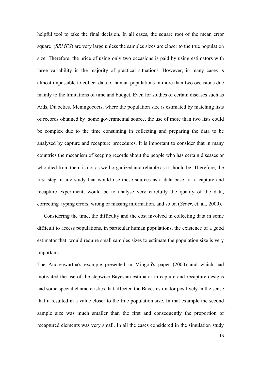helpful tool to take the final decision. In all cases, the square root of the mean error square (*SRMES*) are very large unless the samples sizes are closer to the true population size. Therefore, the price of using only two occasions is paid by using estimators with large variability in the majority of practical situations. However, in many cases is almost impossible to collect data of human populations in more than two occasions due mainly to the limitations of time and budget. Even for studies of certain diseases such as Aids, Diabetics, Meningococis, where the population size is estimated by matching lists of records obtained by some governmental source, the use of more than two lists could be complex due to the time consuming in collecting and preparing the data to be analysed by capture and recapture procedures. It is important to consider that in many countries the mecanism of keeping records about the people who has certain diseases or who died from them is not as well organized and reliable as it should be. Therefore, the first step in any study that would use these sources as a data base for a capture and recapture experiment, would be to analyse very carefully the quality of the data, correcting typing errors, wrong or missing information, and so on (*Seber*, et. al., 2000).

 Considering the time, the difficulty and the cost involved in collecting data in some difficult to access populations, in particular human populations, the existence of a good estimator that would require small samples sizes to estimate the population size is very important.

The Andreawartha's example presented in Mingoti's paper (2000) and which had motivated the use of the stepwise Bayesian estimator in capture and recapture designs had some special characteristics that affected the Bayes estimator positively in the sense that it resulted in a value closer to the true population size. In that example the second sample size was much smaller than the first and consequently the proportion of recaptured elements was very small. In all the cases considered in the simulation study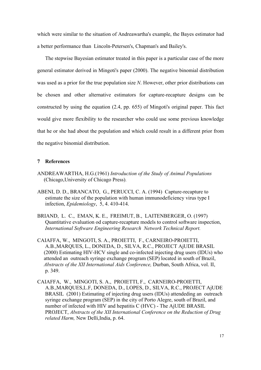which were similar to the situation of Andreawartha's example, the Bayes estimator had a better performance than Lincoln-Petersen's, Chapman's and Bailey's.

 The stepwise Bayesian estimator treated in this paper is a particular case of the more general estimator derived in Mingoti's paper (2000). The negative binomial distribution was used as a prior for the true population size *N*. However, other prior distributions can be chosen and other alternative estimators for capture-recapture designs can be constructed by using the equation (2.4, pp. 655) of Mingoti's original paper. This fact would give more flexibility to the researcher who could use some previous knowledge that he or she had about the population and which could result in a different prior from the negative binomial distribution.

#### **7 References**

- ANDREAWARTHA, H.G.(1961) *Introduction of the Study of Animal Populations* (Chicago,University of Chicago Press).
- ABENI, D. D., BRANCATO, G., PERUCCI, C. A. (1994) Capture-recapture to estimate the size of the population with human immunodeficiency virus type I infection, *Epidemiology*, 5, 4. 410-414.
- BRIAND, L. C., EMAN, K. E., FREIMUT, B., LAITENBERGER, O. (1997) Quantitative evaluation od capture-recapture models to control software inspection, *International Software Engineering Research Network Technical Report.*
- CAIAFFA, W., MINGOTI, S. A., PROIETTI, F., CARNEIRO-PROIETTI, A.B.,MARQUES, L., DONEDA, D., SILVA, R.C., PROJECT AjUDE BRASIL (2000) Estimating HIV-HCV single and co-infected injecting drug users (IDUs) who attended an outreach syringe exchange program (SEP) located in south of Brazil, *Abstracts of the XII International Aids Conference,* Durban, South Africa, vol. II, p. 349.
- CAIAFFA, W., MINGOTI, S. A., PROIETTI, F., CARNEIRO-PROIETTI, A.B.,MARQUES,L.F, DONEDA, D., LOPES, D., SILVA, R.C., PROJECT AjUDE BRASIL (2001) Estimating of injecting drug users (IDUs) attendeding an outreach syringe exchange program (SEP) in the city of Porto Alegre, south of Brazil, and number of infected with HIV and hepatitis C (HVC) - The AjUDE BRASIL PROJECT, *Abstracts of the XII International Conference on the Reduction of Drug related Harm,* New Delli,India, p. 64.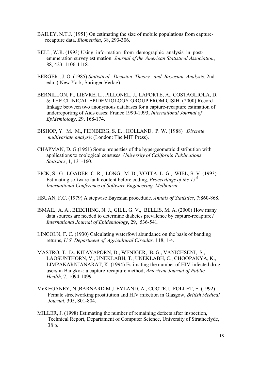- BAILEY, N.T.J. (1951) On estimating the size of mobile populations from capture recapture data. *Biometrika*, 38, 293-306.
- BELL, W.R. (1993) Using information from demographic analysis in post enumeration survey estimation. *Journal of the American Statistical Association*, 88, 423, 1106-1118.
- BERGER , J. O. (1985) *Statistical Decision Theory and Bayesian Analysis*. 2nd. edn. ( New York, Springer Verlag).
- BERNILLON, P., LIEVRE, L., PILLONEL, J., LAPORTE, A., COSTAGLIOLA, D. & THE CLINICAL EPIDEMIOLOGY GROUP FROM CISIH. (2000) Record linkage between two anonymous databases for a capture-recapture estimation of underreporting of Aids cases: France 1990-1993, *International Journal of Epidemiology*, 29, 168-174.
- BISHOP, Y. M. M., FIENBERG, S. E. , HOLLAND, P. W. (1988) *Discrete multivariate analysis* (London: The MIT Press).
- CHAPMAN, D. G.(1951) Some properties of the hypergeometric distribution with applications to zoological censuses. *University of California Publications Statistics*, 1, 131-160.
- EICK, S. G., LOADER, C. R., LONG, M. D., VOTTA, L. G., WIEL, S. V. (1993) Estimating software fault content before coding, *Proceedings of the 15th International Conference of Software Engineering, Melbourne*.
- HSUAN, F.C. (1979) A stepwise Bayesian procedude. *Annals of Statistics*, 7:860-868.
- ISMAIL, A. A., BEECHING, N. J., GILL, G. V., BELLIS, M. A. (2000) How many data sources are needed to determine diabetes prevalence by capture-recapture? *International Journal of Epidemiology*, 29, 536-541.
- LINCOLN, F. C. (1930) Calculating waterfowl abundance on the basis of banding returns, *U.S. Department of Agricultural Circular,* 118, 1-4.
- MASTRO, T. D., KITAYAPORN, D., WENIGER, B. G., VANICHSENI, S., LAOSUNTHORN, V., UNEKLABH, T., UNEKLABH, C., CHOOPANYA, K., LIMPAKARNJANARAT, K. (1994) Estimating the number of HIV-infected drug users in Bangkok: a capture-recapture method, *American Journal of Public Health*, 7, 1094-1099.
- McKEGANEY, N.,BARNARD M.,LEYLAND, A., COOTE,I., FOLLET, E. (1992) Female streetworking prostitution and HIV infection in Glasgow, *British Medical Journal*, 305, 801-804.
- MILLER, J. (1998) Estimating the number of remaining defects after inspection, Technical Report, Departament of Computer Science, University of Stratheclyde, 38 p.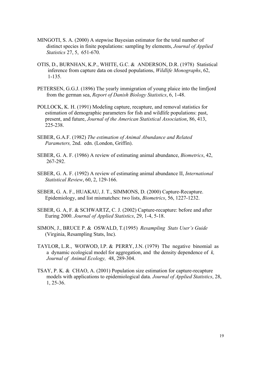- MINGOTI, S. A. (2000) A stepwise Bayesian estimator for the total number of distinct species in finite populations: sampling by elements, *Journal of Applied Statistics* 27, 5, 651-670.
- OTIS, D., BURNHAN, K.P., WHITE, G.C. & ANDERSON, D.R. (1978) Statistical inference from capture data on closed populations, *Wildlife Monographs*, 62, 1-135.
- PETERSEN, G.G.J. (1896) The yearly immigration of young plaice into the limfjord from the german sea, *Report of Danish Biology Statistics*, 6, 1-48.
- POLLOCK, K. H. (1991) Modeling capture, recapture, and removal statistics for estimation of demographic parameters for fish and wildlife populations: past, present, and future, *Journal of the American Statistical Association*, 86, 413, 225-238.
- SEBER, G.A.F. (1982) *The estimation of Animal Abundance and Related Parameters,* 2nd. edn. (London, Griffin).
- SEBER, G. A. F. (1986) A review of estimating animal abundance, *Biometrics*, 42, 267-292.
- SEBER, G. A. F. (1992) A review of estimating animal abundance II, *International Statistical Review*, 60, 2, 129-166.
- SEBER, G. A. F., HUAKAU, J. T., SIMMONS, D. (2000) Capture-Recapture. Epidemiology, and list mismatches: two lists, *Biometrics*, 56, 1227-1232.
- SEBER, G. A, F. & SCHWARTZ, C. J. (2002) Capture-recapture: before and after Euring 2000. *Journal of Applied Statistics*, 29, 1-4, 5-18.
- SIMON, J., BRUCE P. & OSWALD, T.(1995) *Resampling Stats User's Guide* (Virginia, Resampling Stats, Inc).
- TAYLOR, L.R., WOIWOD, I.P. & PERRY, J.N. (1979) The negative binomial as a dynamic ecological model for aggregation, and the density dependence of *k, Journal of Animal Ecology,* 48, 289-304.
- TSAY, P. K. & CHAO, A. (2001) Population size estimation for capture-recapture models with applications to epidemiological data. *Journal of Applied Statistics*, 28, 1, 25-36.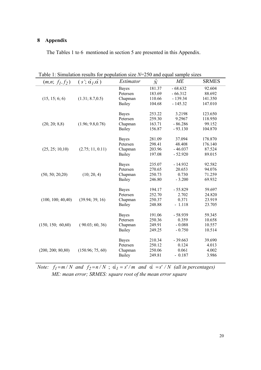### **8 Appendix**

The Tables 1 to 6 mentioned in section 5 are presented in this Appendix.

| $(m, n; f_1, f_2)$ | 1. Dimension results for<br>$(s'; \hat{\alpha}_I, \hat{\alpha})$ | population size IT<br><i>Estimator</i> | $\hat{N}$ | $250$ and equal sample sizes<br>МE | <b>SRMES</b>                                                                                                                                                                                                                                                |
|--------------------|------------------------------------------------------------------|----------------------------------------|-----------|------------------------------------|-------------------------------------------------------------------------------------------------------------------------------------------------------------------------------------------------------------------------------------------------------------|
|                    |                                                                  | <b>Bayes</b>                           | 181.37    | $-68.632$                          |                                                                                                                                                                                                                                                             |
|                    |                                                                  | Petersen                               | 183.69    | $-66.312$                          |                                                                                                                                                                                                                                                             |
| (15, 15; 6; 6)     | (1.31; 8.7, 0.5)                                                 | Chapman                                | 110.66    | $-139.34$                          |                                                                                                                                                                                                                                                             |
|                    |                                                                  | Bailey                                 | 104.68    | $-145.32$                          | 147.010                                                                                                                                                                                                                                                     |
|                    |                                                                  |                                        |           |                                    |                                                                                                                                                                                                                                                             |
|                    |                                                                  | <b>Bayes</b>                           | 253.22    | 3.2198                             |                                                                                                                                                                                                                                                             |
|                    |                                                                  | Petersen                               | 259.30    | 9.2967                             | 92.604<br>88.692<br>141.350<br>123.650<br>118.950<br>99.152<br>104.870<br>178.870<br>176.140<br>87.524<br>89.015<br>92.582<br>94.076<br>71.259<br>69.932<br>59.697<br>24.820<br>23.919<br>23.705<br>59.345<br>10.658<br>10.557<br>10.514<br>39.690<br>4.013 |
| (20, 20; 8, 8)     | (1.96; 9.8, 0.78)                                                | Chapman                                | 163.71    | $-86.286$                          |                                                                                                                                                                                                                                                             |
|                    |                                                                  | Bailey                                 | 156.87    | $-93.130$                          |                                                                                                                                                                                                                                                             |
|                    |                                                                  | <b>Bayes</b>                           | 281.09    | 37.094                             |                                                                                                                                                                                                                                                             |
|                    |                                                                  | Petersen                               | 298.41    | 48.408                             |                                                                                                                                                                                                                                                             |
| (25, 25; 10, 10)   | (2.75; 11, 0.11)                                                 | Chapman                                | 203.96    | $-46.037$                          |                                                                                                                                                                                                                                                             |
|                    |                                                                  | Bailey                                 | 197.08    | $-52.920$                          |                                                                                                                                                                                                                                                             |
|                    |                                                                  |                                        |           |                                    |                                                                                                                                                                                                                                                             |
|                    |                                                                  | <b>Bayes</b>                           | 235.07    | $-14.932$                          |                                                                                                                                                                                                                                                             |
|                    |                                                                  | Petersen                               | 270.65    | 20.653                             |                                                                                                                                                                                                                                                             |
| (50, 50; 20, 20)   | (10; 20, 4)                                                      | Chapman                                | 250.73    | 0.730                              |                                                                                                                                                                                                                                                             |
|                    |                                                                  | Bailey                                 | 246.80    | $-3.200$                           |                                                                                                                                                                                                                                                             |
|                    |                                                                  |                                        |           |                                    |                                                                                                                                                                                                                                                             |
|                    |                                                                  | <b>Bayes</b>                           | 194.17    | $-55.829$                          |                                                                                                                                                                                                                                                             |
|                    |                                                                  | Petersen                               | 252.70    | 2.702                              |                                                                                                                                                                                                                                                             |
| (100, 100; 40, 40) | (39.94; 39, 16)                                                  | Chapman                                | 250.37    | 0.371                              |                                                                                                                                                                                                                                                             |
|                    |                                                                  | Bailey                                 | 248.88    | $-1.118$                           |                                                                                                                                                                                                                                                             |
|                    |                                                                  | <b>Bayes</b>                           | 191.06    | $-58.939$                          |                                                                                                                                                                                                                                                             |
|                    |                                                                  | Petersen                               | 250.36    | 0.359                              | 4.002<br>3.986                                                                                                                                                                                                                                              |
| (150, 150; 60, 60) | (90.03; 60, 36)                                                  | Chapman                                | 249.91    | $-0.088$                           |                                                                                                                                                                                                                                                             |
|                    |                                                                  | Bailey                                 | 249.25    | $-0.750$                           |                                                                                                                                                                                                                                                             |
|                    |                                                                  |                                        |           |                                    |                                                                                                                                                                                                                                                             |
|                    |                                                                  | <b>Bayes</b>                           | 210.34    | $-39.663$                          |                                                                                                                                                                                                                                                             |
|                    |                                                                  | Petersen                               | 250.12    | 0.124                              |                                                                                                                                                                                                                                                             |
| (200, 200; 80, 80) | (150.96; 75, 60)                                                 | Chapman                                | 250.06    | 0.061                              |                                                                                                                                                                                                                                                             |
|                    |                                                                  | Bailey                                 | 249.81    | $-0.187$                           |                                                                                                                                                                                                                                                             |

Table 1: Simulation results for population size *N*=250 and equal sample sizes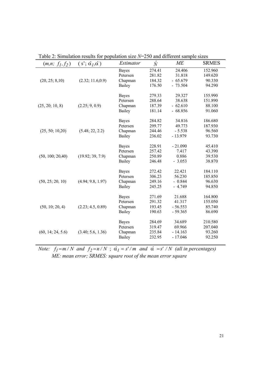| $10002$ . $2000000$ . $100000$<br>p |                                      |                  | $250$ and different sample sizes |           |                                                                                                                                                                                                                                    |  |
|-------------------------------------|--------------------------------------|------------------|----------------------------------|-----------|------------------------------------------------------------------------------------------------------------------------------------------------------------------------------------------------------------------------------------|--|
| $(m, n; f_1, f_2)$                  | $(s'; \hat{\alpha}_I, \hat{\alpha})$ | <i>Estimator</i> | $\hat{N}$                        | МE        | <b>SRMES</b>                                                                                                                                                                                                                       |  |
|                                     |                                      | <b>Bayes</b>     | 274.41                           | 24.406    | 152.960                                                                                                                                                                                                                            |  |
|                                     |                                      | Petersen         | 281.82                           | 31.818    | 149.620                                                                                                                                                                                                                            |  |
| (20, 25; 8, 10)                     | (2.32; 11.6, 0.9)                    | Chapman          | 184.32                           | $-65.679$ | 90.330                                                                                                                                                                                                                             |  |
|                                     |                                      | Bailey           | 176.50                           | $-73.504$ | 94.290                                                                                                                                                                                                                             |  |
|                                     |                                      | <b>Bayes</b>     | 279.33                           | 29.327    |                                                                                                                                                                                                                                    |  |
|                                     |                                      | Petersen         | 288.64                           | 38.638    |                                                                                                                                                                                                                                    |  |
| (25, 20; 10, 8)                     | (2.25; 9, 0.9)                       | Chapman          | 187.39                           | $-62.610$ |                                                                                                                                                                                                                                    |  |
|                                     |                                      | Bailey           | 181.14                           | $-68.856$ | 91.060                                                                                                                                                                                                                             |  |
|                                     |                                      | <b>Bayes</b>     | 284.82                           | 34.816    | 155.990<br>151.890<br>88.100<br>186.680<br>187.930<br>96.560<br>93.730<br>45.410<br>43.390<br>39.530<br>38.870<br>184.110<br>185.850<br>96.630<br>94.850<br>164.800<br>155.050<br>85.740<br>86.690<br>210.580<br>207.040<br>93.260 |  |
|                                     |                                      | Petersen         | 299.77                           | 49.773    |                                                                                                                                                                                                                                    |  |
| (25, 50; 10, 20)                    | (5.48; 22, 2.2)                      | Chapman          | 244.46                           | $-5.538$  |                                                                                                                                                                                                                                    |  |
|                                     |                                      | Bailey           | 236.02                           | $-13.979$ |                                                                                                                                                                                                                                    |  |
|                                     |                                      |                  |                                  |           |                                                                                                                                                                                                                                    |  |
|                                     |                                      | <b>Bayes</b>     | 228.91                           | $-21.090$ |                                                                                                                                                                                                                                    |  |
|                                     |                                      | Petersen         | 257.42                           | 7.417     |                                                                                                                                                                                                                                    |  |
| (50, 100; 20, 40)                   | (19.92; 39, 7.9)                     | Chapman          | 250.89                           | 0.886     |                                                                                                                                                                                                                                    |  |
|                                     |                                      | Bailey           | 246.48                           | $-3.053$  |                                                                                                                                                                                                                                    |  |
|                                     |                                      | <b>Bayes</b>     | 272.42                           | 22.421    |                                                                                                                                                                                                                                    |  |
|                                     |                                      | Petersen         | 306.23                           | 56.230    |                                                                                                                                                                                                                                    |  |
| (50, 25; 20, 10)                    | (4.94; 9.8, 1.97)                    | Chapman          | 249.16                           | $-0.844$  |                                                                                                                                                                                                                                    |  |
|                                     |                                      | Bailey           | 245.25                           | $-4.749$  |                                                                                                                                                                                                                                    |  |
|                                     |                                      | <b>Bayes</b>     | 271.69                           | 21.688    |                                                                                                                                                                                                                                    |  |
|                                     |                                      | Petersen         | 291.32                           | 41.317    | 92.250                                                                                                                                                                                                                             |  |
| (50, 10; 20, 4)                     | (2.23; 4.5, 0.89)                    | Chapman          | 193.45                           | $-56.553$ |                                                                                                                                                                                                                                    |  |
|                                     |                                      | Bailey           | 190.63                           | $-59.365$ |                                                                                                                                                                                                                                    |  |
|                                     |                                      | <b>Bayes</b>     | 284.69                           | 34.689    |                                                                                                                                                                                                                                    |  |
|                                     |                                      | Petersen         | 319.47                           | 69.966    |                                                                                                                                                                                                                                    |  |
| (60, 14; 24, 5.6)                   | (3.40; 5.6, 1.36)                    | Chapman          | 235.84                           | $-14.163$ |                                                                                                                                                                                                                                    |  |
|                                     |                                      | Bailey           | 232.95                           | $-17.046$ |                                                                                                                                                                                                                                    |  |
|                                     |                                      |                  |                                  |           |                                                                                                                                                                                                                                    |  |

Table 2: Simulation results for population size *N*=250 and different sample sizes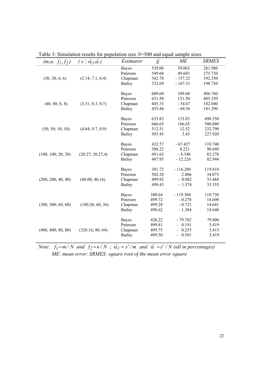| $(m, n; f_1, f_2)$ | $(s'; \hat{\alpha}_I, \hat{\alpha})$ | Estimator                                                                                                                                                                                                                                                                                                                                                                                                                                                                       | $\hat{N}$ | МE                      | <b>SRMES</b> |
|--------------------|--------------------------------------|---------------------------------------------------------------------------------------------------------------------------------------------------------------------------------------------------------------------------------------------------------------------------------------------------------------------------------------------------------------------------------------------------------------------------------------------------------------------------------|-----------|-------------------------|--------------|
|                    |                                      | <b>Bayes</b>                                                                                                                                                                                                                                                                                                                                                                                                                                                                    | 539.06    | 39.063                  | 281.980      |
|                    |                                      | 549.60<br>Petersen<br>342.78<br>Chapman<br>Bailey<br>332.69<br>609.60<br><b>Bayes</b><br>Petersen<br>631.50<br>Chapman<br>445.33<br>435.44<br>Bailey<br>633.83<br><b>Bayes</b><br>666.65<br>Petersen<br>512.51<br>Chapman<br>Bailey<br>503.45<br>432.57<br><b>Bayes</b><br>508.22<br>Petersen<br>Chapman<br>491.65<br>487.95<br>Bailey<br>381.72<br><b>Bayes</b><br>Petersen<br>502.20<br>Chapman<br>499.92<br>Bailey<br>498.43<br>380.64<br><b>Bayes</b><br>499.72<br>Petersen | 49.603    | 275.730                 |              |
| (30, 30; 6, 6)     | (2.14; 7.1, 0.4)                     |                                                                                                                                                                                                                                                                                                                                                                                                                                                                                 |           | $-157.22$               | 192.350      |
|                    |                                      |                                                                                                                                                                                                                                                                                                                                                                                                                                                                                 |           | $-167.31$               | 198.730      |
|                    |                                      |                                                                                                                                                                                                                                                                                                                                                                                                                                                                                 |           | 109.60                  | 406.760      |
|                    |                                      |                                                                                                                                                                                                                                                                                                                                                                                                                                                                                 |           | 131.50                  | 405.330      |
| (40, 40; 8, 8)     | (3.31; 8.3, 0.7)                     |                                                                                                                                                                                                                                                                                                                                                                                                                                                                                 |           | $-54.67$                | 182.040      |
|                    |                                      |                                                                                                                                                                                                                                                                                                                                                                                                                                                                                 |           | $-64.56$                | 181.290      |
|                    |                                      |                                                                                                                                                                                                                                                                                                                                                                                                                                                                                 |           | 133.83                  | 498.550      |
|                    |                                      |                                                                                                                                                                                                                                                                                                                                                                                                                                                                                 |           | 166.65                  | 500.880      |
| (50, 50; 10, 10)   | (4.84; 9.7, 0.9)                     |                                                                                                                                                                                                                                                                                                                                                                                                                                                                                 |           | 12.52                   | 232.790      |
|                    |                                      |                                                                                                                                                                                                                                                                                                                                                                                                                                                                                 |           | 3.45                    | 227.920      |
|                    |                                      |                                                                                                                                                                                                                                                                                                                                                                                                                                                                                 |           | $-67.427$               | 110.740      |
|                    |                                      |                                                                                                                                                                                                                                                                                                                                                                                                                                                                                 |           | 8.221                   | 90.649       |
| (100, 100; 20, 20) | (20.27; 20.27, 4)                    |                                                                                                                                                                                                                                                                                                                                                                                                                                                                                 |           | $-8.348$                | 83.278       |
|                    |                                      |                                                                                                                                                                                                                                                                                                                                                                                                                                                                                 |           | $-12.226$               | 82.944       |
|                    |                                      |                                                                                                                                                                                                                                                                                                                                                                                                                                                                                 |           | $-116.280$              | 119.810      |
|                    |                                      |                                                                                                                                                                                                                                                                                                                                                                                                                                                                                 |           | 2.006                   | 34.073       |
| (200, 200, 40, 40) | (80.00; 40.16)                       |                                                                                                                                                                                                                                                                                                                                                                                                                                                                                 |           | $-0.082$                | 33.484       |
|                    |                                      |                                                                                                                                                                                                                                                                                                                                                                                                                                                                                 |           | $-1.574$                | 33.355       |
|                    |                                      |                                                                                                                                                                                                                                                                                                                                                                                                                                                                                 |           | $-119.360$              | 119.730      |
|                    |                                      |                                                                                                                                                                                                                                                                                                                                                                                                                                                                                 |           | $-0.278$                | 14.690       |
| (300, 300, 60, 60) | (180.26; 60, 36)                     | Chapman                                                                                                                                                                                                                                                                                                                                                                                                                                                                         | 499.28    | $-0.721$                | 14.641       |
|                    |                                      | Bailey                                                                                                                                                                                                                                                                                                                                                                                                                                                                          | 498.62    | $-1.384$                | 14.640       |
|                    |                                      | Bayes                                                                                                                                                                                                                                                                                                                                                                                                                                                                           | 420.22    | $-79.782$               | 79.806       |
|                    |                                      | Petersen                                                                                                                                                                                                                                                                                                                                                                                                                                                                        | 499.81    | 0.191                   | 5.419        |
| (400, 400, 80, 80) | (320.16; 80, 64)                     | Chapman                                                                                                                                                                                                                                                                                                                                                                                                                                                                         | 499.75    | 0.253                   | 5.415        |
|                    |                                      | Bailey                                                                                                                                                                                                                                                                                                                                                                                                                                                                          | 499.50    | 0.501<br>$\overline{a}$ | 5.419        |

Table 3: Simulation results for population size *N*=500 and equal sample sizes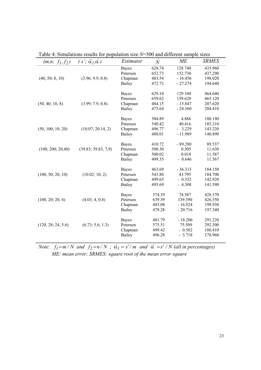| $(m, n; f_1, f_2)$ | $(s'; \hat{\alpha}_I, \hat{\alpha})$ | Estimator    | $\hat{N}$ | МE        | <b>SRMES</b> |
|--------------------|--------------------------------------|--------------|-----------|-----------|--------------|
|                    |                                      | <b>Bayes</b> | 628.74    | 128.740   | 435.960      |
|                    |                                      | Petersen     | 652.73    | 152.730   | 437.290      |
| (40, 50; 8, 10)    | (3.96; 9.9, 0.8)                     | Chapman      | 483.54    | $-16.456$ | 198.020      |
|                    |                                      | Bailey       | 472.73    | $-27.274$ | 194.640      |
|                    |                                      |              |           |           |              |
|                    |                                      | <b>Bayes</b> | 629.10    | 129.100   | 464.640      |
|                    |                                      | Petersen     | 659.62    | 159.620   | 465.120      |
| (50, 40; 10, 8)    | (3.99; 7.9, 0.8)                     | Chapman      | 484.15    | $-15.847$ | 207.620      |
|                    |                                      | Bailey       | 475.64    | $-24.360$ | 204.410      |
|                    |                                      | <b>Bayes</b> | 504.89    | 4.886     | 180.190      |
|                    |                                      | Petersen     | 540.42    | 40.416    | 185.210      |
| (50, 100; 10, 20)  | (10.07; 20.14, 2)                    | Chapman      | 496.77    | $-3.229$  | 143.220      |
|                    |                                      | Bailey       | 488.01    | $-11.989$ | 140.890      |
|                    |                                      |              |           |           |              |
|                    |                                      | <b>Bayes</b> | 410.72    | $-89.280$ | 89.537       |
| (100, 200; 20, 40) | (39.83; 39.83, 7,9)                  | Petersen     | 500.30    | 0.305     | 11.630       |
|                    |                                      | Chapman      | 500.02    | 0.018     | 11.587       |
|                    |                                      | Bailey       | 499.35    | $-0.646$  | 11.567       |
|                    |                                      | <b>Bayes</b> | 463.69    | $-36.313$ | 184.150      |
| (100, 50; 20, 10)  | (10.02; 10, 2)                       | Petersen     | 543.80    | 43.795    | 184.700      |
|                    |                                      | Chapman      | 499.65    | $-0.352$  | 142.920      |
|                    |                                      | Bailey       | 495.69    | $-4.308$  | 141.590      |
|                    |                                      |              |           |           |              |
|                    |                                      | <b>Bayes</b> | 574.39    | 74.387    | 428.370      |
| (100, 20; 20, 4)   | (4.03; 4, 0.8)                       | Petersen     | 639.39    | 139.390   | 426.550      |
|                    |                                      | Chapman      | 483.08    | $-16.924$ | 198.930      |
|                    |                                      | Bailey       | 479.28    | $-20.716$ | 197.340      |
|                    |                                      | <b>Bayes</b> | 481.79    | $-18.206$ | 291.220      |
| (120, 28; 24, 5.6) | (6.73; 5.6, 1.3)                     | Petersen     | 575.51    | 75.509    | 292.300      |
|                    |                                      | Chapman      | 499.42    | $-0.582$  | 180.410      |
|                    |                                      | Bailey       | 496.28    | $-3.718$  | 178.960      |
|                    |                                      |              |           |           |              |

Table 4: Simulations results for population size *N*=500 and different sample sizes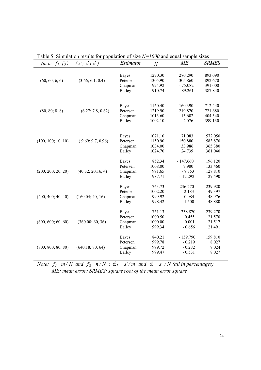|                    | <b>DIMAGNOM LODGERS TOT</b>          | $\mu$ untion of $\mu$ |           | 1000 and equal sample sizes<br><b>ME</b> | <b>SRMES</b>                                                                                                                                                                                                                                                                    |
|--------------------|--------------------------------------|-----------------------|-----------|------------------------------------------|---------------------------------------------------------------------------------------------------------------------------------------------------------------------------------------------------------------------------------------------------------------------------------|
| $(m, n; f_1, f_2)$ | $(s'; \hat{\alpha}_I, \hat{\alpha})$ | <i>Estimator</i>      | $\hat{N}$ |                                          |                                                                                                                                                                                                                                                                                 |
|                    |                                      |                       |           |                                          |                                                                                                                                                                                                                                                                                 |
|                    |                                      | <b>Bayes</b>          | 1270.30   | 270.290                                  |                                                                                                                                                                                                                                                                                 |
| (60, 60; 6, 6)     | (3.66; 6.1, 0.4)                     | Petersen              | 1305.90   | 305.860                                  |                                                                                                                                                                                                                                                                                 |
|                    |                                      | Chapman               | 924.92    | $-75.082$                                |                                                                                                                                                                                                                                                                                 |
|                    |                                      | Bailey                | 910.74    | $-89.261$                                |                                                                                                                                                                                                                                                                                 |
|                    |                                      |                       |           |                                          |                                                                                                                                                                                                                                                                                 |
|                    |                                      |                       |           |                                          |                                                                                                                                                                                                                                                                                 |
|                    |                                      | <b>Bayes</b>          | 1160.40   | 160.390                                  |                                                                                                                                                                                                                                                                                 |
| (80, 80; 8, 8)     | (6.27; 7.8, 0.62)                    | Petersen              | 1219.90   | 219.870                                  |                                                                                                                                                                                                                                                                                 |
|                    |                                      | Chapman               | 1013.60   | 13.602                                   |                                                                                                                                                                                                                                                                                 |
|                    |                                      | Bailey                | 1002.10   | 2.076                                    |                                                                                                                                                                                                                                                                                 |
|                    |                                      |                       |           |                                          |                                                                                                                                                                                                                                                                                 |
|                    |                                      |                       |           |                                          |                                                                                                                                                                                                                                                                                 |
|                    |                                      | <b>Bayes</b>          | 1071.10   | 71.083                                   |                                                                                                                                                                                                                                                                                 |
| (100, 100; 10, 10) | (9.69; 9.7, 0.96)                    | Petersen              | 1150.90   | 150.880                                  |                                                                                                                                                                                                                                                                                 |
|                    |                                      | Chapman               | 1034.00   | 33.986                                   |                                                                                                                                                                                                                                                                                 |
|                    |                                      | Bailey                | 1024.70   | 24.739                                   |                                                                                                                                                                                                                                                                                 |
|                    |                                      | <b>Bayes</b>          | 852.34    | $-147.660$                               |                                                                                                                                                                                                                                                                                 |
|                    |                                      | Petersen              | 1008.00   | 7.980                                    |                                                                                                                                                                                                                                                                                 |
| (200, 200, 20, 20) | (40.32; 20.16, 4)                    | Chapman               | 991.65    | $-8.353$                                 |                                                                                                                                                                                                                                                                                 |
|                    |                                      | Bailey                | 987.71    | $-12.292$                                |                                                                                                                                                                                                                                                                                 |
|                    |                                      |                       |           |                                          |                                                                                                                                                                                                                                                                                 |
|                    |                                      | <b>Bayes</b>          | 763.73    | 236.270                                  | 239.920                                                                                                                                                                                                                                                                         |
|                    |                                      | Petersen              | 1002.20   | 2.183                                    | 49.397                                                                                                                                                                                                                                                                          |
| (400, 400, 40, 40) | (160.04; 40, 16)                     | Chapman               | 999.92    | $-0.084$                                 | 893.090<br>892.670<br>391.000<br>387.840<br>712.440<br>721.680<br>404.340<br>399.130<br>572.050<br>583.870<br>365.380<br>361.040<br>196.120<br>133.460<br>127.810<br>127.490<br>48.976<br>48.880<br>239.270<br>21.570<br>21.517<br>21.491<br>159.810<br>8.027<br>8.024<br>8.027 |
|                    |                                      | Bailey                | 998.42    | $-1.500$                                 |                                                                                                                                                                                                                                                                                 |
|                    |                                      |                       |           |                                          |                                                                                                                                                                                                                                                                                 |
|                    |                                      | <b>Bayes</b>          | 761.13    | $-238.870$                               |                                                                                                                                                                                                                                                                                 |
|                    |                                      | Petersen              | 1000.50   | 0.455                                    |                                                                                                                                                                                                                                                                                 |
| (600, 600, 60, 60) | (360.00; 60, 36)                     | Chapman               | 1000.00   | 0.001                                    |                                                                                                                                                                                                                                                                                 |
|                    |                                      | Bailey                | 999.34    | $-0.656$                                 |                                                                                                                                                                                                                                                                                 |
|                    |                                      |                       |           |                                          |                                                                                                                                                                                                                                                                                 |
|                    |                                      | <b>Bayes</b>          | 840.21    | $-159.790$                               |                                                                                                                                                                                                                                                                                 |
|                    |                                      | Petersen              | 999.78    | $-0.219$                                 |                                                                                                                                                                                                                                                                                 |
| (800, 800, 80, 80) | (640.18; 80, 64)                     | Chapman               | 999.72    | $-0.282$                                 |                                                                                                                                                                                                                                                                                 |
|                    |                                      | Bailey                | 999.47    | $-0.531$                                 |                                                                                                                                                                                                                                                                                 |
|                    |                                      |                       |           |                                          |                                                                                                                                                                                                                                                                                 |

Table 5: Simulation results for population of size *N=1000* and equal sample sizes